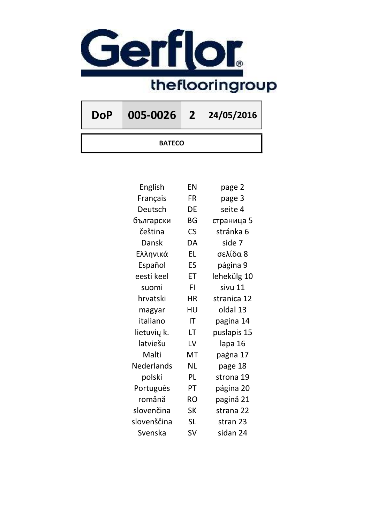

DoP 005-0026 2 24/05/2016

**BATECO** 

| English     | EN        | page 2      |
|-------------|-----------|-------------|
| Français    | FR        | page 3      |
| Deutsch     | DE        | seite 4     |
| български   | BG        | страница 5  |
| čeština     | <b>CS</b> | stránka 6   |
| Dansk       | DA        | side 7      |
| Ελληνικά    | <b>EL</b> | σελίδα 8    |
| Español     | ES        | página 9    |
| eesti keel  | ET        | lehekülg 10 |
| suomi       | FI        | sivu 11     |
| hrvatski    | <b>HR</b> | stranica 12 |
| magyar      | HU        | oldal 13    |
| italiano    | IT        | pagina 14   |
| lietuvių k. | LT        | puslapis 15 |
| latviešu    | LV        | lapa 16     |
| Malti       | MT        | paġna 17    |
| Nederlands  | <b>NL</b> | page 18     |
| polski      | PL        | strona 19   |
| Português   | PT        | página 20   |
| română      | <b>RO</b> | pagină 21   |
| slovenčina  | <b>SK</b> | strana 22   |
| slovenščina | <b>SL</b> | stran 23    |
| Svenska     | SV        | sidan 24    |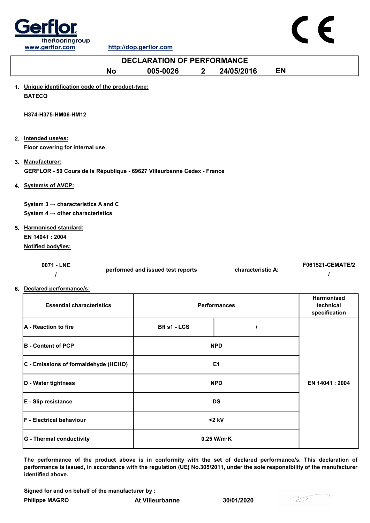

| <b>DECLARATION OF PERFORMANCE</b>                                                           |                                   |              |                   |                  |  |
|---------------------------------------------------------------------------------------------|-----------------------------------|--------------|-------------------|------------------|--|
|                                                                                             | <b>No</b><br>005-0026             | $\mathbf{2}$ | 24/05/2016        | EN               |  |
| 1. Unique identification code of the product-type:<br><b>BATECO</b>                         |                                   |              |                   |                  |  |
| H374-H375-HM06-HM12                                                                         |                                   |              |                   |                  |  |
| 2. Intended use/es:                                                                         |                                   |              |                   |                  |  |
| Floor covering for internal use                                                             |                                   |              |                   |                  |  |
| 3. Manufacturer:<br>GERFLOR - 50 Cours de la République - 69627 Villeurbanne Cedex - France |                                   |              |                   |                  |  |
| 4. System/s of AVCP:                                                                        |                                   |              |                   |                  |  |
| System $3 \rightarrow$ characteristics A and C                                              |                                   |              |                   |                  |  |
| System 4 $\rightarrow$ other characteristics                                                |                                   |              |                   |                  |  |
| 5. Harmonised standard:                                                                     |                                   |              |                   |                  |  |
| EN 14041 : 2004                                                                             |                                   |              |                   |                  |  |
| Notified body/ies:                                                                          |                                   |              |                   |                  |  |
| 0071 - LNE                                                                                  | performed and issued test reports |              | characteristic A: | F061521-CEMATE/2 |  |

6. Declared performance/s:

| <b>Essential characteristics</b>     | <b>Performances</b>  |  | <b>Harmonised</b><br>technical<br>specification |
|--------------------------------------|----------------------|--|-------------------------------------------------|
| <b>A</b> - Reaction to fire          | Bfl s1 - LCS         |  |                                                 |
| <b>B</b> - Content of PCP            | <b>NPD</b>           |  |                                                 |
| C - Emissions of formaldehyde (HCHO) | E <sub>1</sub>       |  |                                                 |
| D - Water tightness                  | <b>NPD</b>           |  | EN 14041 : 2004                                 |
| E - Slip resistance                  | <b>DS</b>            |  |                                                 |
| <b>F - Electrical behaviour</b>      | $<$ 2 kV             |  |                                                 |
| G - Thermal conductivity             | $0,25$ W/m $\cdot$ K |  |                                                 |

The performance of the product above is in conformity with the set of declared performance/s. This declaration of performance is issued, in accordance with the regulation (UE) No.305/2011, under the sole responsibility of the manufacturer identified above.

Signed for and on behalf of the manufacturer by :

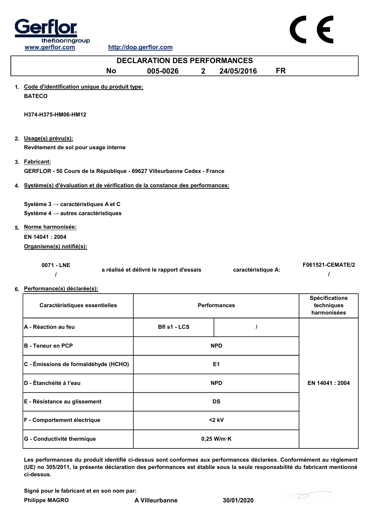



| <b>DECLARATION DES PERFORMANCES</b>                                                                |                                          |              |                     |           |                                                    |
|----------------------------------------------------------------------------------------------------|------------------------------------------|--------------|---------------------|-----------|----------------------------------------------------|
| <b>No</b>                                                                                          | 005-0026                                 | $\mathbf{2}$ | 24/05/2016          | <b>FR</b> |                                                    |
| 1. Code d'identification unique du produit type:<br><b>BATECO</b>                                  |                                          |              |                     |           |                                                    |
| H374-H375-HM06-HM12                                                                                |                                          |              |                     |           |                                                    |
| 2. Usage(s) prévu(s):<br>Revêtement de sol pour usage interne                                      |                                          |              |                     |           |                                                    |
| 3. Fabricant:<br>GERFLOR - 50 Cours de la République - 69627 Villeurbanne Cedex - France           |                                          |              |                     |           |                                                    |
| 4. Système(s) d'évaluation et de vérification de la constance des performances:                    |                                          |              |                     |           |                                                    |
| Système 3 $\rightarrow$ caractéristiques A et C<br>Système 4 $\rightarrow$ autres caractéristiques |                                          |              |                     |           |                                                    |
| 5. Norme harmonisée:                                                                               |                                          |              |                     |           |                                                    |
| EN 14041 : 2004                                                                                    |                                          |              |                     |           |                                                    |
| Organisme(s) notifié(s):                                                                           |                                          |              |                     |           |                                                    |
| 0071 - LNE                                                                                         | a réalisé et délivré le rapport d'essais |              | caractéristique A:  |           | <b>F061521-CEMATE/2</b>                            |
| 6. Performance(s) déclarée(s):                                                                     |                                          |              |                     |           |                                                    |
| Caractéristiques essentielles                                                                      |                                          |              | <b>Performances</b> |           | <b>Spécifications</b><br>techniques<br>harmonisées |
| A - Réaction au feu                                                                                | Bfl s1 - LCS                             |              | I                   |           |                                                    |
| <b>B</b> - Teneur en PCP                                                                           |                                          |              | <b>NPD</b>          |           |                                                    |
| C - Émissions de formaldéhyde (HCHO)                                                               |                                          |              | E <sub>1</sub>      |           |                                                    |
| D - Étanchéité à l'eau                                                                             |                                          |              | <b>NPD</b>          |           | EN 14041 : 2004                                    |
| E - Résistance au glissement                                                                       |                                          |              | <b>DS</b>           |           |                                                    |

Les performances du produit identifié ci-dessus sont conformes aux performances déclarées. Conformément au règlement (UE) no 305/2011, la présente déclaration des performances est établie sous la seule responsabilité du fabricant mentionné ci-dessus.

Signé pour le fabricant et en son nom par:

G - Conductivité thermique **CONTENT CONSUMER SET AN AUTOMOTIVE CONTENT** O.25 W/m·K

F - Comportement électrique <2 kV

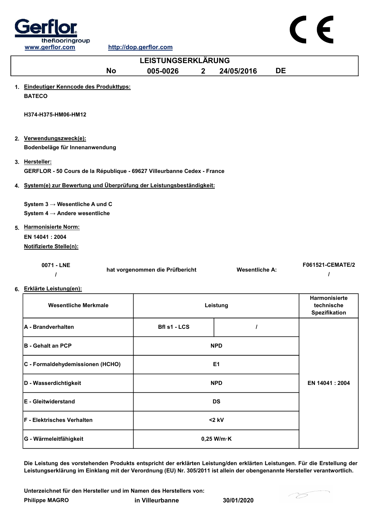

|    | www.gerflor.com                                                                           | http://dop.gerflor.com          |                |                       |    |                                                     |
|----|-------------------------------------------------------------------------------------------|---------------------------------|----------------|-----------------------|----|-----------------------------------------------------|
|    |                                                                                           | LEISTUNGSERKLÄRUNG              |                |                       |    |                                                     |
|    | <b>No</b>                                                                                 | 005-0026                        | 2 <sup>1</sup> | 24/05/2016            | DE |                                                     |
|    | 1. Eindeutiger Kenncode des Produkttyps:<br><b>BATECO</b>                                 |                                 |                |                       |    |                                                     |
|    | H374-H375-HM06-HM12                                                                       |                                 |                |                       |    |                                                     |
|    | 2. Verwendungszweck(e):<br>Bodenbeläge für Innenanwendung                                 |                                 |                |                       |    |                                                     |
|    | 3. Hersteller:<br>GERFLOR - 50 Cours de la République - 69627 Villeurbanne Cedex - France |                                 |                |                       |    |                                                     |
|    | 4. System(e) zur Bewertung und Überprüfung der Leistungsbeständigkeit:                    |                                 |                |                       |    |                                                     |
|    | System $3 \rightarrow$ Wesentliche A und C<br>System $4 \rightarrow$ Andere wesentliche   |                                 |                |                       |    |                                                     |
| 5. | <b>Harmonisierte Norm:</b>                                                                |                                 |                |                       |    |                                                     |
|    | EN 14041 : 2004                                                                           |                                 |                |                       |    |                                                     |
|    | Notifizierte Stelle(n):                                                                   |                                 |                |                       |    |                                                     |
|    | 0071 - LNE<br>$\prime$                                                                    | hat vorgenommen die Prüfbericht |                | <b>Wesentliche A:</b> |    | F061521-CEMATE/2                                    |
|    | 6. Erklärte Leistung(en):                                                                 |                                 |                |                       |    |                                                     |
|    | <b>Wesentliche Merkmale</b>                                                               |                                 |                | Leistung              |    | Harmonisierte<br>technische<br><b>Spezifikation</b> |
|    | A - Brandverhalten                                                                        | Bfl s1 - LCS                    |                | $\prime$              |    |                                                     |
|    | <b>B</b> - Gehalt an PCP                                                                  |                                 |                | <b>NPD</b>            |    |                                                     |
|    | C - Formaldehydemissionen (HCHO)                                                          |                                 |                | E <sub>1</sub>        |    |                                                     |
|    | D - Wasserdichtigkeit                                                                     |                                 |                | <b>NPD</b>            |    | EN 14041: 2004                                      |
|    | E - Gleitwiderstand                                                                       |                                 |                | <b>DS</b>             |    |                                                     |

F - Elektrisches Verhalten and Elektrisches Verhalten and Elektrisches Verhalten and Elektrisches V G - Wärmeleitfähigkeit auch auch der Boltzeit auch der Boltzeit auch der Boltzeit auch der Boltzeit auch der Boltzeit auch der Boltzeit auch der Boltzeit auch der Boltzeit auch der Boltzeit auch der Boltzeit auch der Boltz

Die Leistung des vorstehenden Produkts entspricht der erklärten Leistung/den erklärten Leistungen. Für die Erstellung der Leistungserklärung im Einklang mit der Verordnung (EU) Nr. 305/2011 ist allein der obengenannte Hersteller verantwortlich.

Philippe MAGRO in Villeurbanne 30/01/2020 Unterzeichnet für den Hersteller und im Namen des Herstellers von:



 $\epsilon$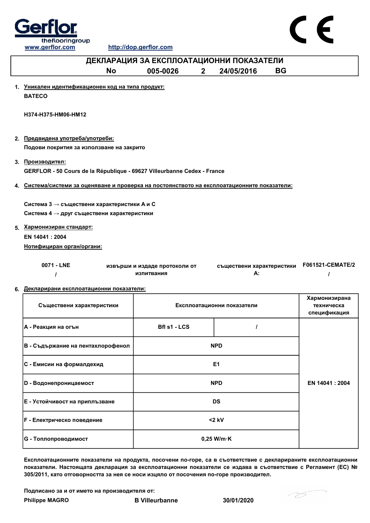

www.gerflor.com http://dop.gerflor.com



| <u>www.gerlior.com</u>                                                                       |           | <u>mup://uop.gernor.com</u>              |                |                                 |           |                            |
|----------------------------------------------------------------------------------------------|-----------|------------------------------------------|----------------|---------------------------------|-----------|----------------------------|
|                                                                                              |           | ДЕКЛАРАЦИЯ ЗА ЕКСПЛОАТАЦИОННИ ПОКАЗАТЕЛИ |                |                                 |           |                            |
|                                                                                              | <b>No</b> | 005-0026                                 | 2 <sup>1</sup> | 24/05/2016                      | <b>BG</b> |                            |
|                                                                                              |           |                                          |                |                                 |           |                            |
| 1. Уникален идентификационен код на типа продукт:                                            |           |                                          |                |                                 |           |                            |
| <b>BATECO</b>                                                                                |           |                                          |                |                                 |           |                            |
| H374-H375-HM06-HM12                                                                          |           |                                          |                |                                 |           |                            |
|                                                                                              |           |                                          |                |                                 |           |                            |
|                                                                                              |           |                                          |                |                                 |           |                            |
| 2. Предвидена употреба/употреби:                                                             |           |                                          |                |                                 |           |                            |
| Подови покрития за използване на закрито                                                     |           |                                          |                |                                 |           |                            |
| 3. Производител:                                                                             |           |                                          |                |                                 |           |                            |
| GERFLOR - 50 Cours de la République - 69627 Villeurbanne Cedex - France                      |           |                                          |                |                                 |           |                            |
|                                                                                              |           |                                          |                |                                 |           |                            |
| 4. Система/системи за оценяване и проверка на постоянството на експлоатационните показатели: |           |                                          |                |                                 |           |                            |
| Система 3 → съществени характеристики А и С                                                  |           |                                          |                |                                 |           |                            |
| Система 4 → друг съществени характеристики                                                   |           |                                          |                |                                 |           |                            |
|                                                                                              |           |                                          |                |                                 |           |                            |
| 5. Хармонизиран стандарт:                                                                    |           |                                          |                |                                 |           |                            |
| EN 14041 : 2004                                                                              |           |                                          |                |                                 |           |                            |
| Нотифициран орган/органи:                                                                    |           |                                          |                |                                 |           |                            |
|                                                                                              |           |                                          |                |                                 |           |                            |
| 0071 - LNE                                                                                   |           | извърши и издаде протоколи от            |                | съществени характеристики<br>А: |           | F061521-CEMATE/2           |
| $\prime$                                                                                     |           | изпитвания                               |                |                                 |           |                            |
| 6. Декларирани експлоатационни показатели:                                                   |           |                                          |                |                                 |           |                            |
|                                                                                              |           |                                          |                |                                 |           | Хармонизирана              |
| Съществени характеристики                                                                    |           |                                          |                | Експлоатационни показатели      |           | техническа<br>спецификация |
|                                                                                              |           |                                          |                |                                 |           |                            |
| А - Реакция на огън                                                                          |           | Bfl s1 - LCS                             |                | $\prime$                        |           |                            |
|                                                                                              |           |                                          |                |                                 |           |                            |
| В - Съдържание на пентахлорофенол                                                            |           |                                          |                | <b>NPD</b>                      |           |                            |

| <b> F - Електрическо поведение</b>                                                                            | $<$ 2 kV             |  |  |  |  |
|---------------------------------------------------------------------------------------------------------------|----------------------|--|--|--|--|
| <b>G</b> - Топлопроводимост                                                                                   | $0,25$ W/m $\cdot$ K |  |  |  |  |
| Експлоатационните показатели на продукта, посочени по-горе, са в съответствие с декларираните експлоатационни |                      |  |  |  |  |

Експлоатационните показатели на продукта, посочени по-горе, са в съответствие с декларираните експлоатационни показатели. Настоящата декларация за експлоатационни показатели се издава в съответствие с Регламент (ЕС) № 305/2011, като отговорността за нея се носи изцяло от посочения по-горе производител.

Подписано за и от името на производителя от:

D - Водонепроницаемост NPD

C - Емисии на формалдехид E1

E - Устойчивост на приплъзване DS

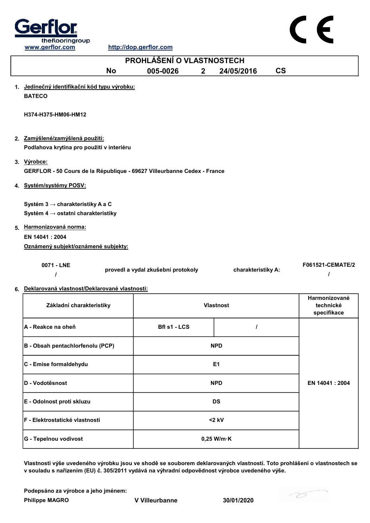



|    | <b>PROHLÁŠENÍ O VLASTNOSTECH</b>                                                                                                                            |           |                                    |              |                    |                          |
|----|-------------------------------------------------------------------------------------------------------------------------------------------------------------|-----------|------------------------------------|--------------|--------------------|--------------------------|
|    |                                                                                                                                                             | <b>No</b> | 005-0026                           | $\mathbf{2}$ | 24/05/2016         | $\mathsf{CS}\phantom{0}$ |
| 1. | Jedinečný identifikační kód typu výrobku:<br><b>BATECO</b>                                                                                                  |           |                                    |              |                    |                          |
|    | H374-H375-HM06-HM12                                                                                                                                         |           |                                    |              |                    |                          |
|    | 2. Zamýšlené/zamýšlená použití:                                                                                                                             |           |                                    |              |                    |                          |
|    | Podlahova krytina pro použití v interiéru                                                                                                                   |           |                                    |              |                    |                          |
|    | 3. Výrobce:<br>GERFLOR - 50 Cours de la République - 69627 Villeurbanne Cedex - France                                                                      |           |                                    |              |                    |                          |
|    | 4. Systém/systémy POSV:                                                                                                                                     |           |                                    |              |                    |                          |
|    | Systém 3 → charakteristiky A a C<br>Systém 4 → ostatni charakteristiky<br>5. Harmonizovaná norma:<br>EN 14041 : 2004<br>Oznámený subjekt/oznámené subjekty: |           |                                    |              |                    |                          |
|    | 0071 - LNE                                                                                                                                                  |           | provedl a vydal zkušební protokoly |              | charakteristiky A: | F061521-CEMATE/2         |

## 6. Deklarovaná vlastnost/Deklarované vlastnosti:

| Základní charakteristiky               | <b>Vlastnost</b>     |  | Harmonizované<br>technické<br>specifikace |
|----------------------------------------|----------------------|--|-------------------------------------------|
| A - Reakce na oheň                     | Bfl s1 - LCS         |  |                                           |
| B - Obsah pentachlorfenolu (PCP)       | <b>NPD</b>           |  |                                           |
| C - Emise formaldehydu                 | E1                   |  |                                           |
| <b>ID - Vodotěsnost</b>                | <b>NPD</b>           |  | EN 14041: 2004                            |
| E - Odolnost proti skluzu              | <b>DS</b>            |  |                                           |
| <b>IF - Elektrostatické vlastnosti</b> | $<$ 2 kV             |  |                                           |
| G - Tepelnou vodivost                  | $0,25$ W/m $\cdot$ K |  |                                           |

Vlastnosti výše uvedeného výrobku jsou ve shodě se souborem deklarovaných vlastností. Toto prohlášení o vlastnostech se v souladu s nařízením (EU) č. 305/2011 vydává na výhradní odpovědnost výrobce uvedeného výše.

Philippe MAGRO V Villeurbanne 30/01/2020 Podepsáno za výrobce a jeho jménem:

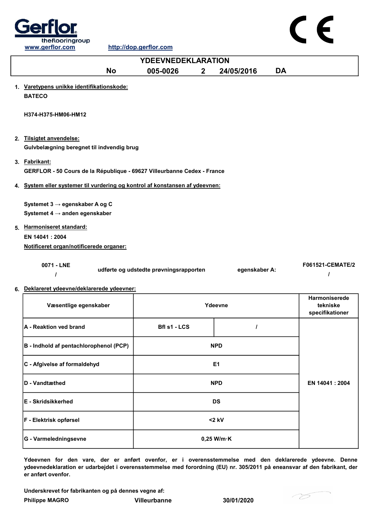

|                                                                                          | <b>YDEEVNEDEKLARATION</b>              |                |                                              |
|------------------------------------------------------------------------------------------|----------------------------------------|----------------|----------------------------------------------|
| <b>No</b>                                                                                | 005-0026<br>$\overline{2}$             | 24/05/2016     | <b>DA</b>                                    |
| 1. Varetypens unikke identifikationskode:<br><b>BATECO</b>                               |                                        |                |                                              |
| H374-H375-HM06-HM12                                                                      |                                        |                |                                              |
| 2. Tilsigtet anvendelse:<br>Gulvbelægning beregnet til indvendig brug                    |                                        |                |                                              |
| 3. Fabrikant:<br>GERFLOR - 50 Cours de la République - 69627 Villeurbanne Cedex - France |                                        |                |                                              |
| 4. System eller systemer til vurdering og kontrol af konstansen af ydeevnen:             |                                        |                |                                              |
| Systemet 3 → egenskaber A og C<br>Systemet 4 $\rightarrow$ anden egenskaber              |                                        |                |                                              |
| 5. Harmoniseret standard:<br>EN 14041: 2004<br>Notificeret organ/notificerede organer:   |                                        |                |                                              |
| 0071 - LNE                                                                               | udførte og udstedte prøvningsrapporten | egenskaber A:  | F061521-CEMATE/2<br>ı                        |
| 6. Deklareret ydeevne/deklarerede ydeevner:                                              |                                        |                |                                              |
| Væsentlige egenskaber                                                                    |                                        | Ydeevne        | Harmoniserede<br>tekniske<br>specifikationer |
| A - Reaktion ved brand                                                                   | Bfl s1 - LCS                           |                |                                              |
| B - Indhold af pentachlorophenol (PCP)                                                   |                                        | <b>NPD</b>     |                                              |
| C - Afgivelse af formaldehyd                                                             |                                        | E <sub>1</sub> |                                              |

| D - Vandtæthed             | <b>NPD</b>           | EN 14041 : 2004 |
|----------------------------|----------------------|-----------------|
| <b>IE - Skridsikkerhed</b> | <b>DS</b>            |                 |
| F - Elektrisk opførsel     | $<$ 2 kV             |                 |
| G - Varmeledningsevne      | $0,25$ W/m $\cdot$ K |                 |

Ydeevnen for den vare, der er anført ovenfor, er i overensstemmelse med den deklarerede ydeevne. Denne ydeevnedeklaration er udarbejdet i overensstemmelse med forordning (EU) nr. 305/2011 på eneansvar af den fabrikant, der er anført ovenfor.

Underskrevet for fabrikanten og på dennes vegne af:

Philippe MAGRO Villeurbanne 30/01/2020



CE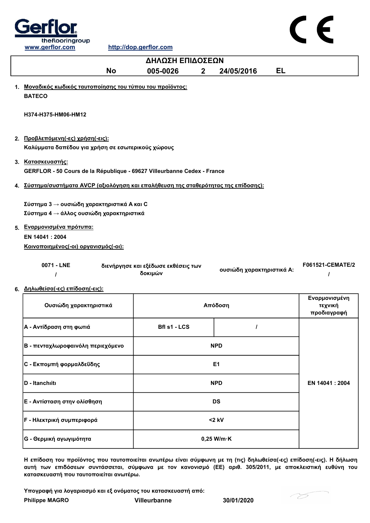

| ΔΗΛΩΣΗ ΕΠΙΔΟΣΕΩΝ                                                                                                                                                                          |                                                |                           |                                         |  |
|-------------------------------------------------------------------------------------------------------------------------------------------------------------------------------------------|------------------------------------------------|---------------------------|-----------------------------------------|--|
| <b>No</b>                                                                                                                                                                                 | 005-0026<br>$\mathbf{2}$                       | 24/05/2016                | <b>EL</b>                               |  |
| 1. Μοναδικός κωδικός ταυτοποίησης του τύπου του προϊόντος:<br><b>BATECO</b>                                                                                                               |                                                |                           |                                         |  |
| H374-H375-HM06-HM12                                                                                                                                                                       |                                                |                           |                                         |  |
| 2. Προβλεπόμενη(-ες) χρήση(-εις):                                                                                                                                                         |                                                |                           |                                         |  |
| Καλύμματα δαπέδου για χρήση σε εσωτερικούς χώρους                                                                                                                                         |                                                |                           |                                         |  |
| 3. Κατασκευαστής:<br>GERFLOR - 50 Cours de la République - 69627 Villeurbanne Cedex - France                                                                                              |                                                |                           |                                         |  |
| 4. Σύστημα/συστήματα AVCP (αξιολόγηση και επαλήθευση της σταθερότητας της επίδοσης):                                                                                                      |                                                |                           |                                         |  |
| Σύστημα 3 $\rightarrow$ ουσιώδη χαρακτηριστικά Α και C<br>Σύστημα 4 → άλλος ουσιώδη χαρακτηριστικά<br>5. Εναρμονισμένα πρότυπα:<br>EN 14041: 2004<br>Κοινοποιημένος(-οι) οργανισμός(-οι): |                                                |                           |                                         |  |
| 0071 - LNE<br>I                                                                                                                                                                           | διενήργησε και εξέδωσε εκθέσεις των<br>δοκιμών | ουσιώδη χαρακτηριστικά Α: | F061521-CEMATE/2<br>ı                   |  |
| 6. Δηλωθείσα(-ες) επίδοση(-εις):                                                                                                                                                          |                                                |                           |                                         |  |
| Ουσιώδη χαρακτηριστικά                                                                                                                                                                    |                                                | Απόδοση                   | Εναρμονισμένη<br>τεχνική<br>προδιαγραφή |  |
| Α - Αντίδραση στη φωτιά                                                                                                                                                                   | Bfl s1 - LCS                                   | $\prime$                  |                                         |  |
| Β - πενταχλωροφαινόλη περιεχόμενο                                                                                                                                                         |                                                | <b>NPD</b>                |                                         |  |
| C - Εκπομπή φορμαλδεΰδης                                                                                                                                                                  |                                                | E1                        |                                         |  |

Η επίδοση του προϊόντος που ταυτοποιείται ανωτέρω είναι σύμφωνη με τη (τις) δηλωθείσα(-ες) επίδοση(-εις). Η δήλωση αυτή των επιδόσεων συντάσσεται, σύμφωνα με τον κανονισμό (ΕΕ) αριθ. 305/2011, με αποκλειστική ευθύνη του κατασκευαστή που ταυτοποιείται ανωτέρω.

NPD

<2 kV

Υπογραφή για λογαριασμό και εξ ονόματος του κατασκευαστή από:

E - Αντίσταση στην ολίσθηση DS

G - Θερμική αγωγιμότητα 0,25 W/m·K

Philippe MAGRO Villeurbanne 30/01/2020

F - Ηλεκτρική συμπεριφορά

D - Itanchιitι

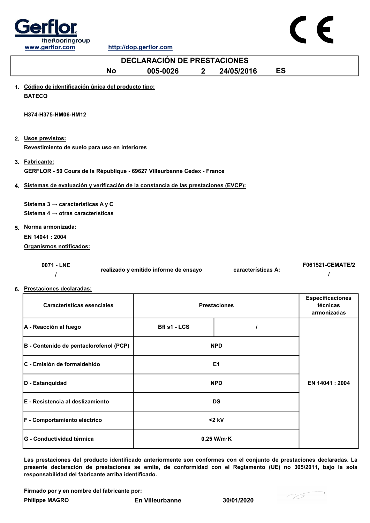



| <b>DECLARACIÓN DE PRESTACIONES</b>                                                             |                                       |  |                     |           |                                                    |
|------------------------------------------------------------------------------------------------|---------------------------------------|--|---------------------|-----------|----------------------------------------------------|
| <b>No</b>                                                                                      | 005-0026<br>2 <sup>1</sup>            |  | 24/05/2016          | <b>ES</b> |                                                    |
| 1. Código de identificación única del producto tipo:<br><b>BATECO</b>                          |                                       |  |                     |           |                                                    |
| H374-H375-HM06-HM12                                                                            |                                       |  |                     |           |                                                    |
| 2. Usos previstos:<br>Revestimiento de suelo para uso en interiores                            |                                       |  |                     |           |                                                    |
| 3. Fabricante:<br>GERFLOR - 50 Cours de la République - 69627 Villeurbanne Cedex - France      |                                       |  |                     |           |                                                    |
| 4. Sistemas de evaluación y verificación de la constancia de las prestaciones (EVCP):          |                                       |  |                     |           |                                                    |
| Sistema 3 $\rightarrow$ características A y C<br>Sistema 4 $\rightarrow$ otras características |                                       |  |                     |           |                                                    |
| 5. Norma armonizada:<br>EN 14041 : 2004                                                        |                                       |  |                     |           |                                                    |
| Organismos notificados:<br>0071 - LNE<br>6. Prestaciones declaradas:                           | realizado y emitido informe de ensayo |  | características A:  |           | <b>F061521-CEMATE/2</b>                            |
| <b>Características esenciales</b>                                                              |                                       |  | <b>Prestaciones</b> |           | <b>Especificaciones</b><br>técnicas<br>armonizadas |
| A - Reacción al fuego                                                                          | Bfl s1 - LCS                          |  | I                   |           |                                                    |
| B - Contenido de pentaclorofenol (PCP)                                                         |                                       |  | <b>NPD</b>          |           |                                                    |
| C - Emisión de formaldehído                                                                    |                                       |  | E <sub>1</sub>      |           |                                                    |
| D - Estanquidad                                                                                |                                       |  | <b>NPD</b>          |           | EN 14041 : 2004                                    |
| E - Resistencia al deslizamiento                                                               |                                       |  | <b>DS</b>           |           |                                                    |
| F - Comportamiento eléctrico                                                                   |                                       |  | $<$ 2 kV            |           |                                                    |

Las prestaciones del producto identificado anteriormente son conformes con el conjunto de prestaciones declaradas. La presente declaración de prestaciones se emite, de conformidad con el Reglamento (UE) no 305/2011, bajo la sola responsabilidad del fabricante arriba identificado.

Firmado por y en nombre del fabricante por:

Philippe MAGRO En Villeurbanne 30/01/2020

G - Conductividad térmica de de la conductividad térmica de la conductividad térmica de la conductividad térmica

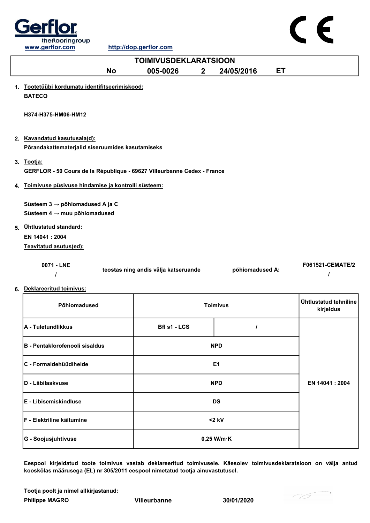



|    | <b>TOIMIVUSDEKLARATSIOON</b>                                                                                             |                     |              |                 |           |                                    |
|----|--------------------------------------------------------------------------------------------------------------------------|---------------------|--------------|-----------------|-----------|------------------------------------|
|    | <b>No</b>                                                                                                                | 005-0026            | $\mathbf{2}$ | 24/05/2016      | <b>ET</b> |                                    |
| 1. | Tootetüübi kordumatu identifitseerimiskood:<br><b>BATECO</b>                                                             |                     |              |                 |           |                                    |
|    | H374-H375-HM06-HM12                                                                                                      |                     |              |                 |           |                                    |
|    | 2. Kavandatud kasutusala(d):<br>Põrandakattematerjalid siseruumides kasutamiseks                                         |                     |              |                 |           |                                    |
|    | 3. Tootja:<br>GERFLOR - 50 Cours de la République - 69627 Villeurbanne Cedex - France                                    |                     |              |                 |           |                                    |
| 4. | Toimivuse püsivuse hindamise ja kontrolli süsteem:                                                                       |                     |              |                 |           |                                    |
| 5. | Süsteem $3 \rightarrow p\ddot{o}$ hiomadused A ja C<br>Süsteem $4 \rightarrow$ muu põhiomadused<br>Ühtlustatud standard: |                     |              |                 |           |                                    |
|    | EN 14041: 2004                                                                                                           |                     |              |                 |           |                                    |
|    | Teavitatud asutus(ed):                                                                                                   |                     |              |                 |           |                                    |
|    | 0071 - LNE<br>teostas ning andis välja katseruande<br>põhiomadused A:<br>ı                                               |                     |              |                 |           | F061521-CEMATE/2                   |
|    | 6. Deklareeritud toimivus:                                                                                               |                     |              |                 |           |                                    |
|    | Põhiomadused                                                                                                             |                     |              | <b>Toimivus</b> |           | Ühtlustatud tehniline<br>kirjeldus |
|    | A - Tuletundlikkus                                                                                                       | <b>Bfl s1 - LCS</b> |              | $\prime$        |           |                                    |
|    | <b>B - Pentaklorofenooli sisaldus</b>                                                                                    |                     |              | <b>NPD</b>      |           |                                    |
|    | C - Formaldehüüdiheide                                                                                                   |                     |              | E <sub>1</sub>  |           |                                    |
|    | D - Läbilaskvuse                                                                                                         |                     |              | <b>NPD</b>      |           | EN 14041 : 2004                    |
|    | E - Libisemiskindluse                                                                                                    |                     |              | <b>DS</b>       |           |                                    |

Eespool kirjeldatud toote toimivus vastab deklareeritud toimivusele. Käesolev toimivusdeklaratsioon on välja antud kooskõlas määrusega (EL) nr 305/2011 eespool nimetatud tootja ainuvastutusel.

Tootja poolt ja nimel allkirjastanud:

Philippe MAGRO Villeurbanne 30/01/2020

F - Elektriline käitumine <2 kV

G - Soojusjuhtivuse and the control of the control of the control of the control of the control of the control of the control of the control of the control of the control of the control of the control of the control of the

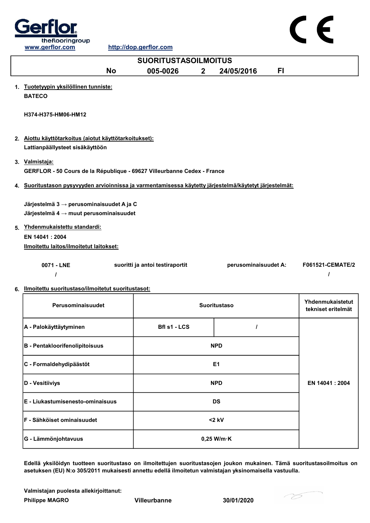

|    | www.gerflor.com                                                                                            |           | http://dop.gerflor.com          |                |                      |     |                    |  |
|----|------------------------------------------------------------------------------------------------------------|-----------|---------------------------------|----------------|----------------------|-----|--------------------|--|
|    | <b>SUORITUSTASOILMOITUS</b>                                                                                |           |                                 |                |                      |     |                    |  |
|    |                                                                                                            | <b>No</b> | 005-0026                        | $\overline{2}$ | 24/05/2016           | FI. |                    |  |
|    | 1. Tuotetyypin yksilöllinen tunniste:                                                                      |           |                                 |                |                      |     |                    |  |
|    | <b>BATECO</b>                                                                                              |           |                                 |                |                      |     |                    |  |
|    |                                                                                                            |           |                                 |                |                      |     |                    |  |
|    | H374-H375-HM06-HM12                                                                                        |           |                                 |                |                      |     |                    |  |
|    |                                                                                                            |           |                                 |                |                      |     |                    |  |
|    | 2. Aiottu käyttötarkoitus (aiotut käyttötarkoitukset):                                                     |           |                                 |                |                      |     |                    |  |
|    | Lattianpäällysteet sisäkäyttöön                                                                            |           |                                 |                |                      |     |                    |  |
|    |                                                                                                            |           |                                 |                |                      |     |                    |  |
|    | 3. Valmistaja:<br>GERFLOR - 50 Cours de la République - 69627 Villeurbanne Cedex - France                  |           |                                 |                |                      |     |                    |  |
|    |                                                                                                            |           |                                 |                |                      |     |                    |  |
|    | 4. Suoritustason pysyvyyden arvioinnissa ja varmentamisessa käytetty järjestelmä/käytetyt järjestelmät:    |           |                                 |                |                      |     |                    |  |
|    |                                                                                                            |           |                                 |                |                      |     |                    |  |
|    | Järjestelmä 3 $\rightarrow$ perusominaisuudet A ja C<br>Järjestelmä $4 \rightarrow$ muut perusominaisuudet |           |                                 |                |                      |     |                    |  |
|    |                                                                                                            |           |                                 |                |                      |     |                    |  |
| 5. | Yhdenmukaistettu standardi:                                                                                |           |                                 |                |                      |     |                    |  |
|    | EN 14041: 2004                                                                                             |           |                                 |                |                      |     |                    |  |
|    | Ilmoitettu laitos/ilmoitetut laitokset:                                                                    |           |                                 |                |                      |     |                    |  |
|    | 0071 - LNE                                                                                                 |           | suoritti ja antoi testiraportit |                | perusominaisuudet A: |     | F061521-CEMATE/2   |  |
|    |                                                                                                            |           |                                 |                |                      |     |                    |  |
|    |                                                                                                            |           |                                 |                |                      |     |                    |  |
|    | 6. Ilmoitettu suoritustaso/ilmoitetut suoritustasot:                                                       |           |                                 |                |                      |     |                    |  |
|    | Perusominaisuudet                                                                                          |           |                                 |                | <b>Suoritustaso</b>  |     | Yhdenmukaistetut   |  |
|    |                                                                                                            |           |                                 |                |                      |     | tekniset eritelmät |  |
|    | A - Palokäyttäytyminen                                                                                     |           | <b>Bfl s1 - LCS</b>             |                | $\prime$             |     |                    |  |
|    |                                                                                                            |           |                                 |                |                      |     |                    |  |

| B - Pentakloorifenolipitoisuus     |  | <b>NPD</b>           |  |
|------------------------------------|--|----------------------|--|
| C - Formaldehydipäästöt            |  | E <sub>1</sub>       |  |
| D - Vesitiiviys<br><b>NPD</b>      |  | EN 14041 : 2004      |  |
| E - Liukastumisenesto-ominaisuus   |  | <b>DS</b>            |  |
| <b>IF - Sähköiset ominaisuudet</b> |  | $<$ 2 kV             |  |
| G - Lämmönjohtavuus                |  | $0,25$ W/m $\cdot$ K |  |

Edellä yksilöidyn tuotteen suoritustaso on ilmoitettujen suoritustasojen joukon mukainen. Tämä suoritustasoilmoitus on asetuksen (EU) N:o 305/2011 mukaisesti annettu edellä ilmoitetun valmistajan yksinomaisella vastuulla.

Valmistajan puolesta allekirjoittanut:

Philippe MAGRO Villeurbanne 30/01/2020



 $\epsilon$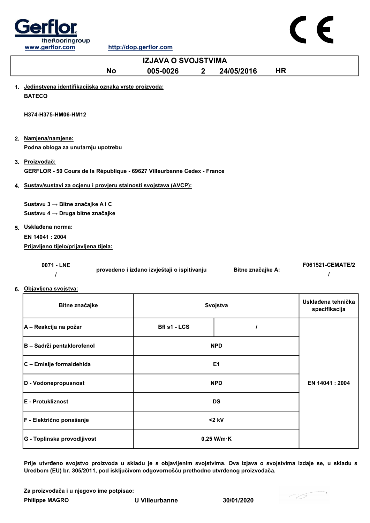



Prije utvrđeno svojstvo proizvoda u skladu je s objavljenim svojstvima. Ova izjava o svojstvima izdaje se, u skladu s Uredbom (EU) br. 305/2011, pod isključivom odgovornošću prethodno utvrđenog proizvođača.

Za proizvođača i u njegovo ime potpisao:

Philippe MAGRO U Villeurbanne 30/01/2020

G - Toplinska provodljivost and a state of the United States of the United States of the United States of the U

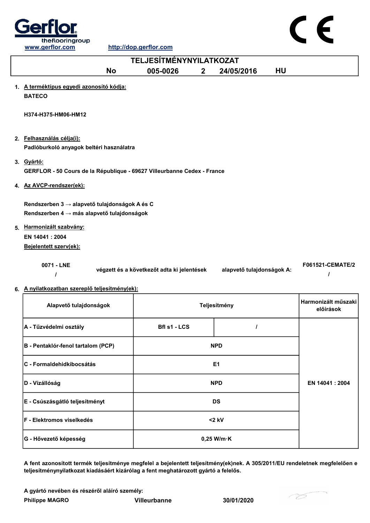



| A - Tűzvédelmi osztály             | Bfl s1 - LCS   |                      |                 |
|------------------------------------|----------------|----------------------|-----------------|
| B - Pentaklór-fenol tartalom (PCP) | <b>NPD</b>     |                      |                 |
| <b>IC - Formaldehidkibocsátás</b>  | E <sub>1</sub> |                      |                 |
| D - Vízállóság                     | <b>NPD</b>     |                      | EN 14041 : 2004 |
| E - Csúszásgátló teljesítményt     | <b>DS</b>      |                      |                 |
| F - Elektromos viselkedés          | $<$ 2 kV       |                      |                 |
| G - Hővezető képesség              |                | $0,25$ W/m $\cdot$ K |                 |

A fent azonosított termék teljesítménye megfelel a bejelentett teljesítmény(ek)nek. A 305/2011/EU rendeletnek megfelelően e teljesítménynyilatkozat kiadásáért kizárólag a fent meghatározott gyártó a felelős.

A gyártó nevében és részéről aláíró személy:

Philippe MAGRO Villeurbanne 30/01/2020

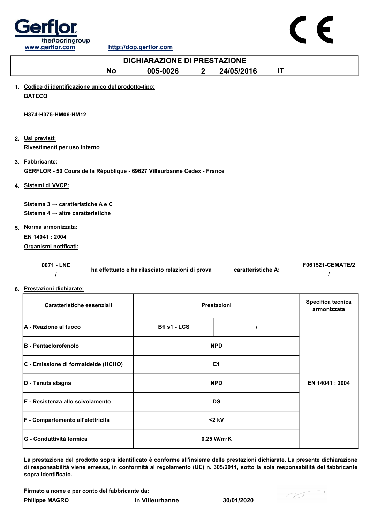

|    | <b>DICHIARAZIONE DI PRESTAZIONE</b>                                                        |           |                                                  |              |                    |    |                  |
|----|--------------------------------------------------------------------------------------------|-----------|--------------------------------------------------|--------------|--------------------|----|------------------|
|    |                                                                                            | <b>No</b> | 005-0026                                         | $\mathbf{2}$ | 24/05/2016         | IT |                  |
|    | 1. Codice di identificazione unico del prodotto-tipo:<br><b>BATECO</b>                     |           |                                                  |              |                    |    |                  |
|    | H374-H375-HM06-HM12                                                                        |           |                                                  |              |                    |    |                  |
|    | 2. Usi previsti:<br>Rivestimenti per uso interno                                           |           |                                                  |              |                    |    |                  |
|    | 3. Fabbricante:<br>GERFLOR - 50 Cours de la République - 69627 Villeurbanne Cedex - France |           |                                                  |              |                    |    |                  |
|    | 4. Sistemi di VVCP:                                                                        |           |                                                  |              |                    |    |                  |
|    | Sistema $3 \rightarrow$ caratteristiche A e C                                              |           |                                                  |              |                    |    |                  |
|    | Sistema 4 $\rightarrow$ altre caratteristiche                                              |           |                                                  |              |                    |    |                  |
| 5. | Norma armonizzata:                                                                         |           |                                                  |              |                    |    |                  |
|    | EN 14041 : 2004                                                                            |           |                                                  |              |                    |    |                  |
|    | Organismi notificati:                                                                      |           |                                                  |              |                    |    |                  |
|    | 0071 - LNE                                                                                 |           | ha effettuato e ha rilasciato relazioni di prova |              | caratteristiche A: |    | F061521-CEMATE/2 |

6. Prestazioni dichiarate:

| Caratteristiche essenziali          | Prestazioni          |  | Specifica tecnica<br>armonizzata |
|-------------------------------------|----------------------|--|----------------------------------|
| <b>A</b> - Reazione al fuoco        | Bfl s1 - LCS         |  |                                  |
| <b>B</b> - Pentaclorofenolo         | <b>NPD</b>           |  |                                  |
| C - Emissione di formaldeide (HCHO) | E <sub>1</sub>       |  |                                  |
| D - Tenuta stagna                   | <b>NPD</b>           |  | EN 14041 : 2004                  |
| E - Resistenza allo scivolamento    | <b>DS</b>            |  |                                  |
| F - Compartemento all'elettricità   | $<$ 2 kV             |  |                                  |
| <b>G - Conduttività termica</b>     | $0,25$ W/m $\cdot$ K |  |                                  |

La prestazione del prodotto sopra identificato è conforme all'insieme delle prestazioni dichiarate. La presente dichiarazione di responsabilità viene emessa, in conformità al regolamento (UE) n. 305/2011, sotto la sola responsabilità del fabbricante sopra identificato.

Firmato a nome e per conto del fabbricante da:

Philippe MAGRO **In Villeurbanne** 30/01/2020

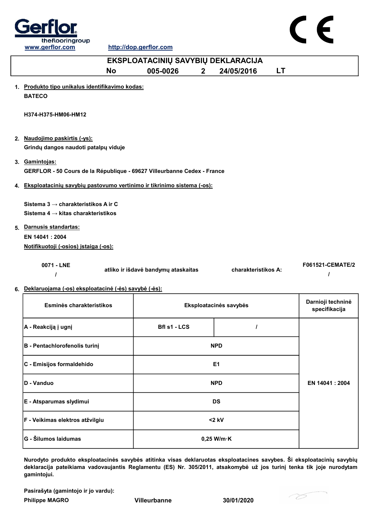



| EKSPLOATACINIŲ SAVYBIŲ DEKLARACIJA                                                                  |                          |                        |                                    |  |  |
|-----------------------------------------------------------------------------------------------------|--------------------------|------------------------|------------------------------------|--|--|
| <b>No</b>                                                                                           | 005-0026<br>$\mathbf{2}$ | 24/05/2016             | LT                                 |  |  |
| 1. Produkto tipo unikalus identifikavimo kodas:<br><b>BATECO</b>                                    |                          |                        |                                    |  |  |
| H374-H375-HM06-HM12                                                                                 |                          |                        |                                    |  |  |
| 2. Naudojimo paskirtis (-ys):<br>Grindų dangos naudoti patalpų viduje                               |                          |                        |                                    |  |  |
| 3. Gamintojas:<br>GERFLOR - 50 Cours de la République - 69627 Villeurbanne Cedex - France           |                          |                        |                                    |  |  |
| 4. Eksploatacinių savybių pastovumo vertinimo ir tikrinimo sistema (-os):                           |                          |                        |                                    |  |  |
| Sistema 3 → charakteristikos A ir C<br>Sistema 4 $\rightarrow$ kitas charakteristikos               |                          |                        |                                    |  |  |
| 5. Darnusis standartas:                                                                             |                          |                        |                                    |  |  |
| EN 14041 : 2004                                                                                     |                          |                        |                                    |  |  |
| Notifikuotoji (-osios) įstaiga (-os):                                                               |                          |                        |                                    |  |  |
| 0071 - LNE<br><b>F061521-CEMATE/2</b><br>atliko ir išdavė bandymų ataskaitas<br>charakteristikos A: |                          |                        |                                    |  |  |
| 6. Deklaruojama (-os) eksploatacinė (-ės) savybė (-ės):                                             |                          |                        |                                    |  |  |
| Esminės charakteristikos                                                                            |                          | Eksploatacinės savybės | Darnioji techninė<br>specifikacija |  |  |
| A - Reakciją į ugnį                                                                                 | Bfl s1 - LCS             | I                      |                                    |  |  |
| B - Pentachlorofenolis turinį                                                                       |                          | <b>NPD</b>             |                                    |  |  |
| C - Emisijos formaldehido                                                                           |                          | E1                     |                                    |  |  |
| D - Vanduo                                                                                          |                          | <b>NPD</b>             | EN 14041 : 2004                    |  |  |
|                                                                                                     |                          |                        |                                    |  |  |

E - Atsparumas slydimui DS F - Veikimas elektros atžvilgiu <2 kV G - Šilumos laidumas **1986. gadā uz atstāvā uz Savādā uz Savādā uz Sav**ādā uz 0,25 W/m·K

Nurodyto produkto eksploatacinės savybės atitinka visas deklaruotas eksploatacines savybes. Ši eksploatacinių savybių deklaracija pateikiama vadovaujantis Reglamentu (ES) Nr. 305/2011, atsakomybė už jos turinį tenka tik joje nurodytam gamintojui.

Pasirašyta (gamintojo ir jo vardu):

Philippe MAGRO Villeurbanne 30/01/2020

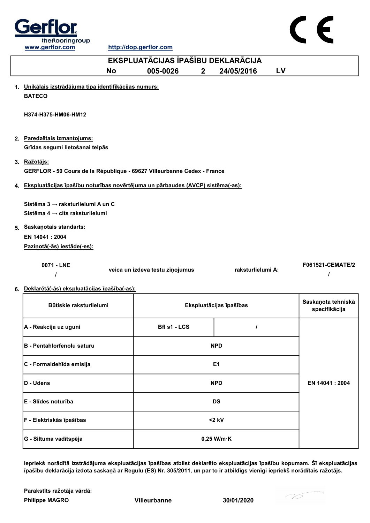

http://dop.gerflor.com



|                                                                                                               | EKSPLUATĀCIJAS ĪPAŠĪBU DEKLARĀCIJA |                         |                                     |  |  |
|---------------------------------------------------------------------------------------------------------------|------------------------------------|-------------------------|-------------------------------------|--|--|
| <b>No</b>                                                                                                     | 005-0026<br>$\mathbf{2}$           | 24/05/2016              | LV                                  |  |  |
| 1. Unikālais izstrādājuma tipa identifikācijas numurs:<br><b>BATECO</b>                                       |                                    |                         |                                     |  |  |
| H374-H375-HM06-HM12                                                                                           |                                    |                         |                                     |  |  |
| 2. Paredzētais izmantojums:<br>Grīdas segumi lietošanai telpās                                                |                                    |                         |                                     |  |  |
| 3. Ražotājs:<br>GERFLOR - 50 Cours de la République - 69627 Villeurbanne Cedex - France                       |                                    |                         |                                     |  |  |
| 4. Ekspluatācijas īpašību noturības novērtējuma un pārbaudes (AVCP) sistēma(-as):                             |                                    |                         |                                     |  |  |
| Sistēma 3 → raksturlielumi A un C<br>Sistēma 4 $\rightarrow$ cits raksturlielumi<br>5. Saskanotais standarts: |                                    |                         |                                     |  |  |
| EN 14041 : 2004<br>Pazinotā(-ās) iestāde(-es):                                                                |                                    |                         |                                     |  |  |
| 0071 - LNE<br>I<br>6. Deklarētā(-ās) ekspluatācijas īpašība(-as):                                             | veica un izdeva testu ziņojumus    | raksturlielumi A:       | <b>F061521-CEMATE/2</b>             |  |  |
| Būtiskie raksturlielumi                                                                                       |                                    | Ekspluatācijas īpašības | Saskaņota tehniskā<br>specifikācija |  |  |
| A - Reakcija uz uguni                                                                                         | Bfl s1 - LCS                       | $\prime$                |                                     |  |  |
| B - Pentahlorfenolu saturu                                                                                    |                                    | <b>NPD</b>              |                                     |  |  |
| C - Formaldehīda emisija                                                                                      |                                    | E <sub>1</sub>          |                                     |  |  |
| D - Udens                                                                                                     |                                    | <b>NPD</b>              | EN 14041 : 2004                     |  |  |

Iepriekš norādītā izstrādājuma ekspluatācijas īpašības atbilst deklarēto ekspluatācijas īpašību kopumam. Šī ekspluatācijas īpašību deklarācija izdota saskaņā ar Regulu (ES) Nr. 305/2011, un par to ir atbildīgs vienīgi iepriekš norādītais ražotājs.

Philippe MAGRO Villeurbanne 30/01/2020 Parakstīts ražotāja vārdā:

E - Slīdes noturība DS

F - Elektriskās īpašības <2 kV

G - Siltuma vadītspēja  $\vert$  0,25 W/m·K

-75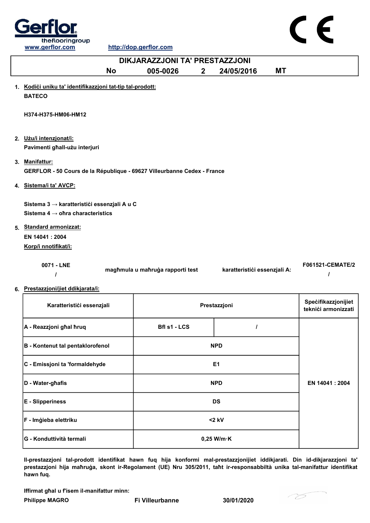

http://dop.gerflor.com

|    | DIKJARAZZJONI TA' PRESTAZZJONI                                                              |                                  |                              |                                            |  |
|----|---------------------------------------------------------------------------------------------|----------------------------------|------------------------------|--------------------------------------------|--|
|    | <b>No</b>                                                                                   | 005-0026<br>2 <sup>1</sup>       | МT<br>24/05/2016             |                                            |  |
|    | 1. Kodići uniku ta' identifikazzjoni tat-tip tal-prodott:<br><b>BATECO</b>                  |                                  |                              |                                            |  |
|    | H374-H375-HM06-HM12                                                                         |                                  |                              |                                            |  |
|    | 2. Użu/i intenzjonat/i:<br>Pavimenti ghall-użu interjuri                                    |                                  |                              |                                            |  |
|    | 3. Manifattur:<br>GERFLOR - 50 Cours de la République - 69627 Villeurbanne Cedex - France   |                                  |                              |                                            |  |
|    | 4. Sistema/i ta' AVCP:                                                                      |                                  |                              |                                            |  |
|    | Sistema 3 → karatteristići essenzjali A u C<br>Sistema 4 $\rightarrow$ ohra characteristics |                                  |                              |                                            |  |
| 5. | <b>Standard armonizzat:</b><br>EN 14041: 2004<br>Korp/i nnotifikat/i:                       |                                  |                              |                                            |  |
|    | 0071 - LNE                                                                                  | magħmula u maħruġa rapporti test | karatteristići essenzjali A: | F061521-CEMATE/2                           |  |
|    | 6. Prestazzjoni/jiet ddikjarata/i:                                                          |                                  |                              |                                            |  |
|    | Karatteristici essenzjali                                                                   |                                  | Prestazzjoni                 | Specifikazzjonijiet<br>teknići armonizzati |  |
|    |                                                                                             |                                  |                              |                                            |  |

| A - Reazzjoni ghal hruq          | <b>Bfl s1 - LCS</b> |                      |                |
|----------------------------------|---------------------|----------------------|----------------|
| B - Kontenut tal pentaklorofenol |                     | <b>NPD</b>           |                |
| C - Emissjoni ta 'formaldehyde   | E <sub>1</sub>      |                      |                |
| D - Water-ghafis                 | <b>NPD</b>          |                      | EN 14041: 2004 |
| <b>E</b> - Slipperiness          | <b>DS</b>           |                      |                |
| F - Imģieba elettriku            | $<$ 2 kV            |                      |                |
| <b>IG - Konduttività termali</b> |                     | $0,25$ W/m $\cdot$ K |                |

Il-prestazzjoni tal-prodott identifikat hawn fuq hija konformi mal-prestazzjonijiet iddikjarati. Din id-dikjarazzjoni ta' prestazzjoni hija maħruġa, skont ir-Regolament (UE) Nru 305/2011, taħt ir-responsabbiltà unika tal-manifattur identifikat hawn fuq.

Iffirmat għal u f'isem il-manifattur minn:

Philippe MAGRO Fi Villeurbanne 30/01/2020

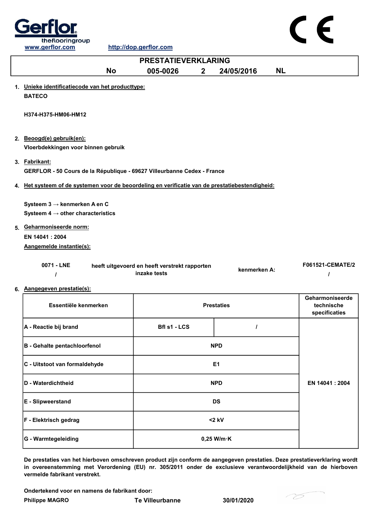



| 0071 - LNE | heeft uitgevoerd en heeft verstrekt rapporten | kenmerken A: | F061521-CEMATE/2 |
|------------|-----------------------------------------------|--------------|------------------|
|            | inzake tests                                  |              |                  |

## 6. Aangegeven prestatie(s):

| Essentiële kenmerken          | <b>Prestaties</b>    | Geharmoniseerde<br>technische<br>specificaties |  |
|-------------------------------|----------------------|------------------------------------------------|--|
| A - Reactie bij brand         | <b>Bfl s1 - LCS</b>  |                                                |  |
| B - Gehalte pentachloorfenol  | <b>NPD</b>           |                                                |  |
| C - Uitstoot van formaldehyde | E <sub>1</sub>       |                                                |  |
| D - Waterdichtheid            | <b>NPD</b>           | EN 14041 : 2004                                |  |
| E - Slipweerstand             | <b>DS</b>            |                                                |  |
| <b>F</b> - Elektrisch gedrag  | $<$ 2 kV             |                                                |  |
| G - Warmtegeleiding           | $0,25$ W/m $\cdot$ K |                                                |  |

De prestaties van het hierboven omschreven product zijn conform de aangegeven prestaties. Deze prestatieverklaring wordt in overeenstemming met Verordening (EU) nr. 305/2011 onder de exclusieve verantwoordelijkheid van de hierboven vermelde fabrikant verstrekt.

Ondertekend voor en namens de fabrikant door:

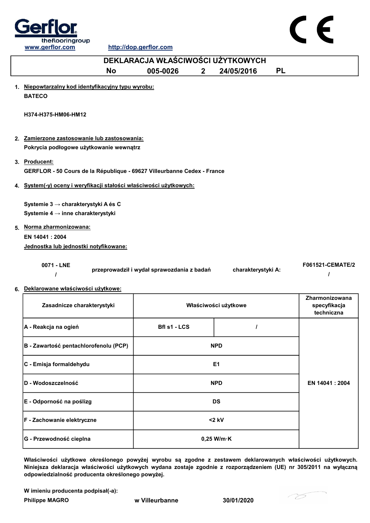



| DEKLARACJA WŁAŚCIWOŚCI UŻYTKOWYCH                                                        |                                            |             |                      |           |                                              |  |
|------------------------------------------------------------------------------------------|--------------------------------------------|-------------|----------------------|-----------|----------------------------------------------|--|
| <b>No</b>                                                                                | 005-0026                                   | $2^{\circ}$ | 24/05/2016           | <b>PL</b> |                                              |  |
| 1. Niepowtarzalny kod identyfikacyjny typu wyrobu:<br><b>BATECO</b>                      |                                            |             |                      |           |                                              |  |
| H374-H375-HM06-HM12                                                                      |                                            |             |                      |           |                                              |  |
| 2. Zamierzone zastosowanie lub zastosowania:<br>Pokrycia podłogowe użytkowanie wewnątrz  |                                            |             |                      |           |                                              |  |
| 3. Producent:<br>GERFLOR - 50 Cours de la République - 69627 Villeurbanne Cedex - France |                                            |             |                      |           |                                              |  |
| 4. System(-y) oceny i weryfikacji stałości właściwości użytkowych:                       |                                            |             |                      |           |                                              |  |
| Systemie 3 → charakterystyki A és C<br>Systemie 4 $\rightarrow$ inne charakterystyki     |                                            |             |                      |           |                                              |  |
| 5. Norma zharmonizowana:<br>EN 14041 : 2004<br>Jednostka lub jednostki notyfikowane:     |                                            |             |                      |           |                                              |  |
| 0071 - LNE<br>I                                                                          | przeprowadził i wydał sprawozdania z badań |             | charakterystyki A:   |           | F061521-CEMATE/2                             |  |
| 6. Deklarowane właściwości użytkowe:<br>Zasadnicze charakterystyki                       |                                            |             | Właściwości użytkowe |           | Zharmonizowana<br>specyfikacja<br>techniczna |  |
| A - Reakcja na ogień                                                                     | Bfl s1 - LCS                               |             | I                    |           |                                              |  |
| B - Zawartość pentachlorofenolu (PCP)                                                    |                                            |             | <b>NPD</b>           |           |                                              |  |
| C - Emisja formaldehydu                                                                  |                                            |             | E1                   |           |                                              |  |

Właściwości użytkowe określonego powyżej wyrobu są zgodne z zestawem deklarowanych właściwości użytkowych. Niniejsza deklaracja właściwości użytkowych wydana zostaje zgodnie z rozporządzeniem (UE) nr 305/2011 na wyłączną odpowiedzialność producenta określonego powyżej.

0,25 W/m·K

W imieniu producenta podpisał(-a):

G - Przewodność cieplna

Philippe MAGRO w Villeurbanne 30/01/2020

D - Wodoszczelność NPD

E - Odporność na poślizg do do do do do do do do do do DS

F - Zachowanie elektryczne <2 kV

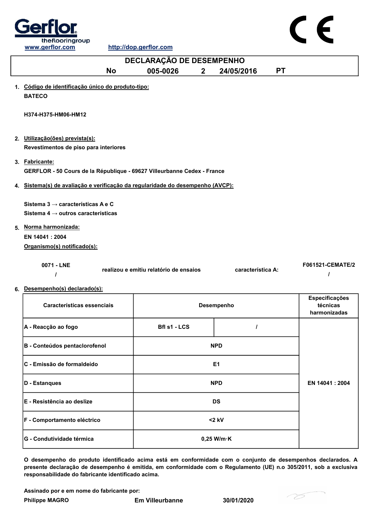

| DECLARAÇÃO DE DESEMPENHO                                                                                                                                                   |                                        |                |                   |           |                                            |  |
|----------------------------------------------------------------------------------------------------------------------------------------------------------------------------|----------------------------------------|----------------|-------------------|-----------|--------------------------------------------|--|
| <b>No</b>                                                                                                                                                                  | 005-0026                               | $\overline{2}$ | 24/05/2016        | <b>PT</b> |                                            |  |
| 1. Código de identificação único do produto-tipo:<br><b>BATECO</b>                                                                                                         |                                        |                |                   |           |                                            |  |
| H374-H375-HM06-HM12                                                                                                                                                        |                                        |                |                   |           |                                            |  |
| 2. Utilização(ões) prevista(s):                                                                                                                                            |                                        |                |                   |           |                                            |  |
| Revestimentos de piso para interiores                                                                                                                                      |                                        |                |                   |           |                                            |  |
| 3. Fabricante:<br>GERFLOR - 50 Cours de la République - 69627 Villeurbanne Cedex - France                                                                                  |                                        |                |                   |           |                                            |  |
| 4. Sistema(s) de avaliação e verificação da regularidade do desempenho (AVCP):                                                                                             |                                        |                |                   |           |                                            |  |
| Sistema 3 $\rightarrow$ características A e C<br>Sistema 4 $\rightarrow$ outros características<br>5. Norma harmonizada:<br>EN 14041 : 2004<br>Organismo(s) notificado(s): |                                        |                |                   |           |                                            |  |
| 0071 - LNE<br>$\prime$                                                                                                                                                     | realizou e emitiu relatório de ensaios |                | característica A: |           | F061521-CEMATE/2                           |  |
| 6. Desempenho(s) declarado(s):                                                                                                                                             |                                        |                |                   |           |                                            |  |
| Características essenciais                                                                                                                                                 |                                        |                | Desempenho        |           | Especificações<br>técnicas<br>harmonizadas |  |
| A - Reacção ao fogo                                                                                                                                                        | <b>Bfl s1 - LCS</b>                    |                | $\prime$          |           |                                            |  |
| B - Conteúdos pentaclorofenol                                                                                                                                              |                                        |                | <b>NPD</b>        |           |                                            |  |
| C - Emissão de formaldeído                                                                                                                                                 |                                        |                | E1                |           |                                            |  |

O desempenho do produto identificado acima está em conformidade com o conjunto de desempenhos declarados. A presente declaração de desempenho é emitida, em conformidade com o Regulamento (UE) n.o 305/2011, sob a exclusiva responsabilidade do fabricante identificado acima.

Assinado por e em nome do fabricante por:

F - Comportamento eléctrico

G - Condutividade térmica de de de la conductividade térmica de la conductividade térmica de la conductividade térmica de la conductividade de la conductividade térmica de la conductividade de la conductividade térmica de

D - Estanques NPD

E - Resistência ao deslize DS

<2 kV

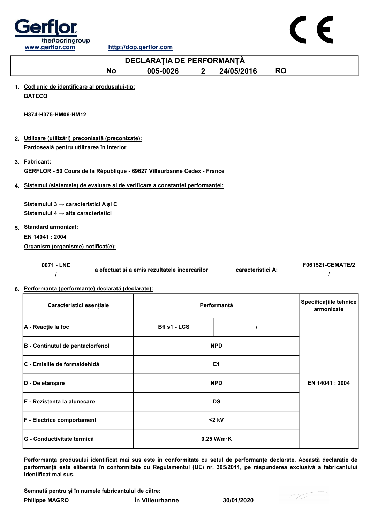

| DECLARAȚIA DE PERFORMANȚĂ                                                                |                                               |             |                   |           |                                      |  |
|------------------------------------------------------------------------------------------|-----------------------------------------------|-------------|-------------------|-----------|--------------------------------------|--|
| <b>No</b>                                                                                | 005-0026                                      | $2^{\circ}$ | 24/05/2016        | <b>RO</b> |                                      |  |
| 1. Cod unic de identificare al produsului-tip:<br><b>BATECO</b>                          |                                               |             |                   |           |                                      |  |
| H374-H375-HM06-HM12                                                                      |                                               |             |                   |           |                                      |  |
| 2. Utilizare (utilizări) preconizată (preconizate):                                      |                                               |             |                   |           |                                      |  |
| Pardoseală pentru utilizarea în interior                                                 |                                               |             |                   |           |                                      |  |
| 3. Fabricant:<br>GERFLOR - 50 Cours de la République - 69627 Villeurbanne Cedex - France |                                               |             |                   |           |                                      |  |
| 4. Sistemul (sistemele) de evaluare și de verificare a constanței performanței:          |                                               |             |                   |           |                                      |  |
| Sistemului 3 → caracteristici A și C                                                     |                                               |             |                   |           |                                      |  |
| Sistemului 4 $\rightarrow$ alte caracteristici                                           |                                               |             |                   |           |                                      |  |
| 5. Standard armonizat:                                                                   |                                               |             |                   |           |                                      |  |
| EN 14041: 2004                                                                           |                                               |             |                   |           |                                      |  |
| Organism (organisme) notificat(e):                                                       |                                               |             |                   |           |                                      |  |
| 0071 - LNE                                                                               | a efectuat și a emis rezultatele încercărilor |             | caracteristici A: |           | F061521-CEMATE/2                     |  |
| 6. Performanța (performanțe) declarată (declarate):                                      |                                               |             |                   |           |                                      |  |
| Caracteristici esențiale                                                                 |                                               |             | Performanță       |           | Specificațiile tehnice<br>armonizate |  |
| A - Reacție la foc                                                                       | Bfl s1 - LCS                                  |             | 1                 |           |                                      |  |
| B - Continutul de pentaclorfenol                                                         |                                               |             | <b>NPD</b>        |           |                                      |  |

| $ D - De$ etansare                  | <b>NPD</b>           | EN 14041 : 2004 |
|-------------------------------------|----------------------|-----------------|
| <b>IE - Rezistenta la alunecare</b> | <b>DS</b>            |                 |
| <b>F</b> - Electrice comportament   | $<$ 2 kV             |                 |
| <b>IG - Conductivitate termică</b>  | $0,25$ W/m $\cdot$ K |                 |
|                                     |                      |                 |

Performanța produsului identificat mai sus este în conformitate cu setul de performanțe declarate. Această declarație de performanță este eliberată în conformitate cu Regulamentul (UE) nr. 305/2011, pe răspunderea exclusivă a fabricantului identificat mai sus.

Semnată pentru și în numele fabricantului de către:

C - Emisiile de formaldehidă E1

Philippe MAGRO În Villeurbanne 30/01/2020

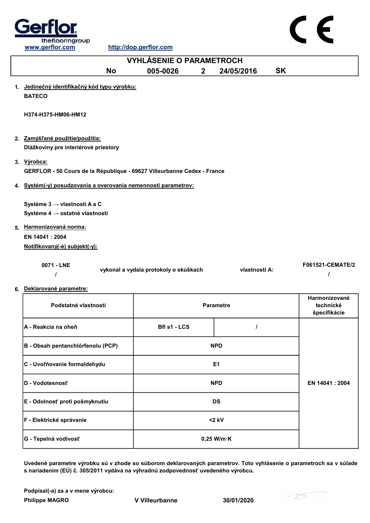



| <b>No</b>                                                                              | 005-0026                              | 2 <sup>1</sup> | 24/05/2016       | <b>SK</b> |                                            |
|----------------------------------------------------------------------------------------|---------------------------------------|----------------|------------------|-----------|--------------------------------------------|
| 1. Jedinečný identifikačný kód typu výrobku:<br><b>BATECO</b>                          |                                       |                |                  |           |                                            |
| H374-H375-HM06-HM12                                                                    |                                       |                |                  |           |                                            |
| 2. Zamýšľané použitie/použitia:<br>Dlážkoviny pre interiérové priestory                |                                       |                |                  |           |                                            |
| 3. Výrobca:<br>GERFLOR - 50 Cours de la République - 69627 Villeurbanne Cedex - France |                                       |                |                  |           |                                            |
| 4. Systém(-y) posudzovania a overovania nemennosti parametrov:                         |                                       |                |                  |           |                                            |
| Systéme 3 → vlastnosti A a C<br>Systéme 4 → ostatné vlastnosti                         |                                       |                |                  |           |                                            |
| 5. Harmonizovaná norma:                                                                |                                       |                |                  |           |                                            |
| EN 14041: 2004                                                                         |                                       |                |                  |           |                                            |
| Notifikovaný(-é) subjekt(-y):                                                          |                                       |                |                  |           |                                            |
| 0071 - LNE<br>ı                                                                        | vykonal a vydala protokoly o skúškach |                | vlastnosti A:    |           | F061521-CEMATE/2<br>$\prime$               |
| 6. Deklarované parametre:                                                              |                                       |                |                  |           |                                            |
| Podstatné vlastnosti                                                                   |                                       |                | <b>Parametre</b> |           | Harmonizované<br>technické<br>špecifikácie |
| A - Reakcia na oheň                                                                    | Bfl s1 - LCS                          |                | $\prime$         |           |                                            |
| B - Obsah pentanchlórfenolu (PCP)                                                      |                                       |                | <b>NPD</b>       |           |                                            |
| C - Uvoľňovanie formaldehydu                                                           |                                       |                | E <sub>1</sub>   |           |                                            |
| D - Vodotesnosť                                                                        |                                       |                | <b>NPD</b>       |           | EN 14041: 2004                             |
| E - Odolnosť proti pošmyknutiu                                                         |                                       |                | <b>DS</b>        |           |                                            |
| F - Elektrické správanie                                                               |                                       |                | $<$ 2 kV         |           |                                            |

Uvedené parametre výrobku sú v zhode so súborom deklarovaných parametrov. Toto vyhlásenie o parametroch sa v súlade s nariadením (EÚ) č. 305/2011 vydáva na výhradnú zodpovednosť uvedeného výrobcu.

0,25 W/m·K

Podpísal(-a) za a v mene výrobcu:

G - Tepelná vodivosť

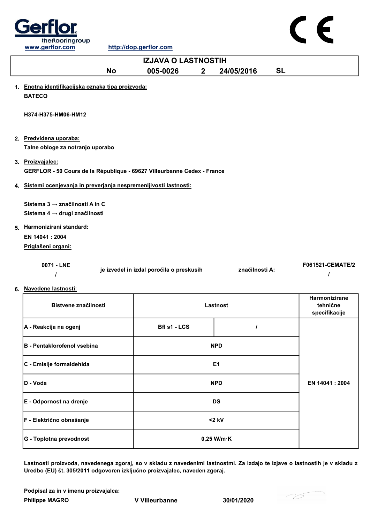



| <b>IZJAVA O LASTNOSTIH</b>                                                                  |                                          |              |                |           |                                            |
|---------------------------------------------------------------------------------------------|------------------------------------------|--------------|----------------|-----------|--------------------------------------------|
| <b>No</b>                                                                                   | 005-0026                                 | $\mathbf{2}$ | 24/05/2016     | <b>SL</b> |                                            |
| 1. Enotna identifikacijska oznaka tipa proizvoda:<br><b>BATECO</b>                          |                                          |              |                |           |                                            |
| H374-H375-HM06-HM12                                                                         |                                          |              |                |           |                                            |
| 2. Predvidena uporaba:<br>Talne obloge za notranjo uporabo                                  |                                          |              |                |           |                                            |
| 3. Proizvajalec:<br>GERFLOR - 50 Cours de la République - 69627 Villeurbanne Cedex - France |                                          |              |                |           |                                            |
| 4. Sistemi ocenjevanja in preverjanja nespremenljivosti lastnosti:                          |                                          |              |                |           |                                            |
| Sistema 3 → značilnosti A in C<br>Sistema 4 → drugi značilnosti                             |                                          |              |                |           |                                            |
| 5. Harmonizirani standard:<br>EN 14041: 2004<br>Priglašeni organi:                          |                                          |              |                |           |                                            |
| 0071 - LNE<br>$\prime$                                                                      | je izvedel in izdal poročila o preskusih |              | značilnosti A: |           | F061521-CEMATE/2                           |
| 6. Navedene lastnosti:                                                                      |                                          |              |                |           |                                            |
| Bistvene značilnosti                                                                        |                                          |              | Lastnost       |           | Harmonizirane<br>tehnične<br>specifikacije |
| A - Reakcija na ogenj                                                                       | Bfl s1 - LCS                             |              | I              |           |                                            |
| <b>B</b> - Pentaklorofenol vsebina                                                          |                                          |              | <b>NPD</b>     |           |                                            |
| C - Emisije formaldehida                                                                    |                                          |              | E1             |           |                                            |
| D - Voda                                                                                    |                                          |              | <b>NPD</b>     |           | EN 14041 : 2004                            |
| E - Odpornost na drenje                                                                     |                                          |              | <b>DS</b>      |           |                                            |

Lastnosti proizvoda, navedenega zgoraj, so v skladu z navedenimi lastnostmi. Za izdajo te izjave o lastnostih je v skladu z Uredbo (EU) št. 305/2011 odgovoren izključno proizvajalec, naveden zgoraj.

Podpisal za in v imenu proizvajalca:

Philippe MAGRO V Villeurbanne 30/01/2020

F - Električno obnašanje <2 kV

G - Toplotna prevodnost and a metal control of the U of the U of the U of the U of the U of the U of the U of the U of the U of the U of the U of the U of the U of the U of the U of the U of the U of the U of the U of the